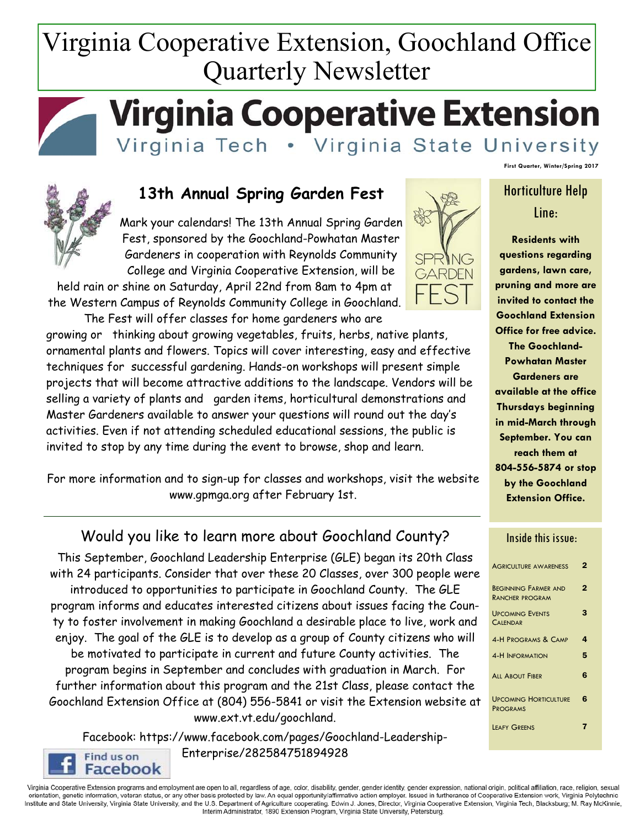# Virginia Cooperative Extension, Goochland Office Quarterly Newsletter



# **Virginia Cooperative Extension**

Virginia Tech • Virginia State University



## **13th Annual Spring Garden Fest**

Mark your calendars! The 13th Annual Spring Garden Fest, sponsored by the Goochland-Powhatan Master Gardeners in cooperation with Reynolds Community College and Virginia Cooperative Extension, will be

held rain or shine on Saturday, April 22nd from 8am to 4pm at the Western Campus of Reynolds Community College in Goochland.

 The Fest will offer classes for home gardeners who are growing or thinking about growing vegetables, fruits, herbs, native plants, ornamental plants and flowers. Topics will cover interesting, easy and effective techniques for successful gardening. Hands-on workshops will present simple projects that will become attractive additions to the landscape. Vendors will be selling a variety of plants and garden items, horticultural demonstrations and Master Gardeners available to answer your questions will round out the day's activities. Even if not attending scheduled educational sessions, the public is invited to stop by any time during the event to browse, shop and learn.

For more information and to sign-up for classes and workshops, visit the website www.gpmga.org after February 1st.

## Would you like to learn more about Goochland County?

This September, Goochland Leadership Enterprise (GLE) began its 20th Class with 24 participants. Consider that over these 20 Classes, over 300 people were introduced to opportunities to participate in Goochland County. The GLE program informs and educates interested citizens about issues facing the County to foster involvement in making Goochland a desirable place to live, work and enjoy. The goal of the GLE is to develop as a group of County citizens who will be motivated to participate in current and future County activities. The program begins in September and concludes with graduation in March. For further information about this program and the 21st Class, please contact the Goochland Extension Office at (804) 556-5841 or visit the Extension website at www.ext.vt.edu/goochland.

Facebook: https://www.facebook.com/pages/Goochland-Leadership-Enterprise/282584751894928 Find us on

Facebook



**First Quarter, Winter/Spring 2017** 

# Horticulture Help Line:

**Residents with questions regarding gardens, lawn care, pruning and more are invited to contact the Goochland Extension Office for free advice. The Goochland-**

**Powhatan Master Gardeners are available at the office Thursdays beginning in mid-March through September. You can reach them at 804-556-5874 or stop by the Goochland Extension Office.** 

#### Inside this issue:

| <b>AGRICULTURE AWARENESS</b>                          | 2 |
|-------------------------------------------------------|---|
| <b>BEGINNING FARMER AND</b><br><b>RANCHER PROGRAM</b> | 2 |
| <b>UPCOMING EVENTS</b><br><b>CALENDAR</b>             | З |
| <b>4-H PROGRAMS &amp; CAMP</b>                        | 4 |
| <b>4-H INFORMATION</b>                                | 5 |
| <b>ALL ABOUT FIBER</b>                                | 6 |
| <b>UPCOMING HORTICULTURE</b><br><b>PROGRAMS</b>       | 6 |
| <b>LEAFY GREENS</b>                                   |   |

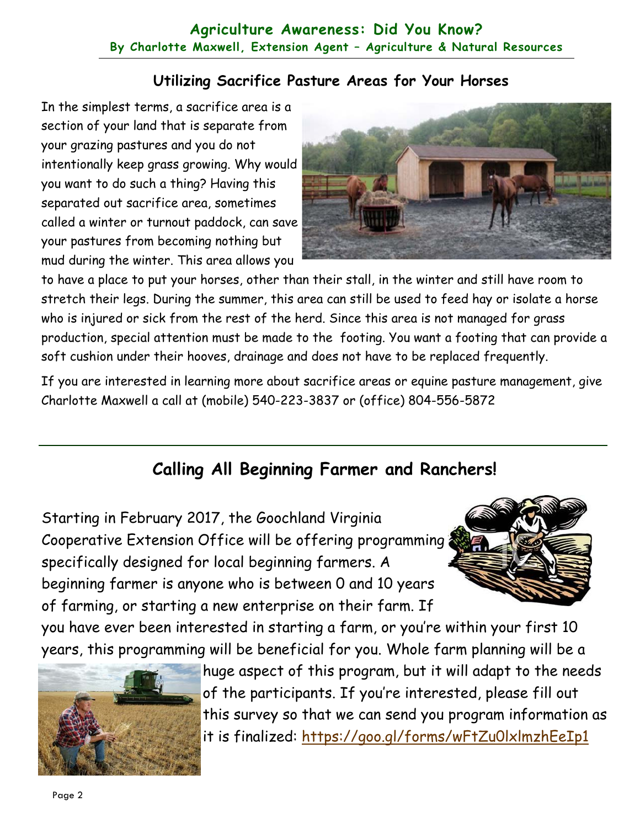## **Agriculture Awareness: Did You Know? By Charlotte Maxwell, Extension Agent – Agriculture & Natural Resources**

## **Utilizing Sacrifice Pasture Areas for Your Horses**

In the simplest terms, a sacrifice area is a section of your land that is separate from your grazing pastures and you do not intentionally keep grass growing. Why would you want to do such a thing? Having this separated out sacrifice area, sometimes called a winter or turnout paddock, can save your pastures from becoming nothing but mud during the winter. This area allows you



to have a place to put your horses, other than their stall, in the winter and still have room to stretch their legs. During the summer, this area can still be used to feed hay or isolate a horse who is injured or sick from the rest of the herd. Since this area is not managed for grass production, special attention must be made to the footing. You want a footing that can provide a soft cushion under their hooves, drainage and does not have to be replaced frequently.

If you are interested in learning more about sacrifice areas or equine pasture management, give Charlotte Maxwell a call at (mobile) 540-223-3837 or (office) 804-556-5872

# **Calling All Beginning Farmer and Ranchers!**

Starting in February 2017, the Goochland Virginia Cooperative Extension Office will be offering programming specifically designed for local beginning farmers. A beginning farmer is anyone who is between 0 and 10 years of farming, or starting a new enterprise on their farm. If



you have ever been interested in starting a farm, or you're within your first 10 years, this programming will be beneficial for you. Whole farm planning will be a



huge aspect of this program, but it will adapt to the needs of the participants. If you're interested, please fill out this survey so that we can send you program information as it is finalized: https://goo.gl/forms/wFtZu0lxlmzhEeIp1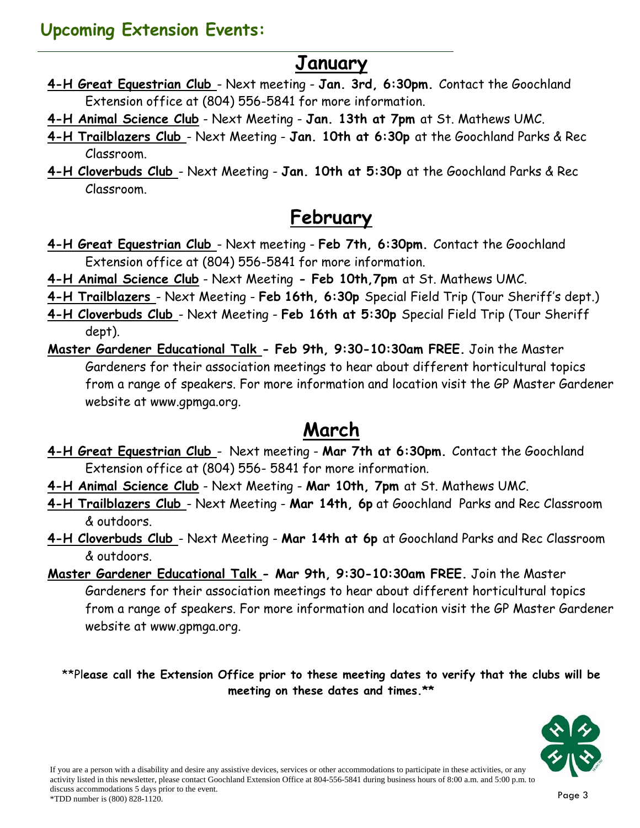# **Upcoming Extension Events:**

# **January**

- **4-H Great Equestrian Club**  Next meeting **Jan. 3rd, 6:30pm.** Contact the Goochland Extension office at (804) 556-5841 for more information.
- **4-H Animal Science Club** Next Meeting **Jan. 13th at 7pm** at St. Mathews UMC.
- **4-H Trailblazers Club**  Next Meeting **Jan. 10th at 6:30p** at the Goochland Parks & Rec Classroom.
- **4-H Cloverbuds Club**  Next Meeting **Jan. 10th at 5:30p** at the Goochland Parks & Rec Classroom.

# **February**

- **4-H Great Equestrian Club**  Next meeting **Feb 7th, 6:30pm.** Contact the Goochland Extension office at (804) 556-5841 for more information.
- **4-H Animal Science Club** Next Meeting **Feb 10th,7pm** at St. Mathews UMC.
- **4-H Trailblazers**  Next Meeting **Feb 16th, 6:30p** Special Field Trip (Tour Sheriff's dept.)
- **4-H Cloverbuds Club**  Next Meeting **Feb 16th at 5:30p** Special Field Trip (Tour Sheriff dept).
- **Master Gardener Educational Talk Feb 9th, 9:30-10:30am FREE.** Join the Master Gardeners for their association meetings to hear about different horticultural topics from a range of speakers. For more information and location visit the GP Master Gardener website at www.gpmga.org.

# **March**

- **4-H Great Equestrian Club**  Next meeting **Mar 7th at 6:30pm.** Contact the Goochland Extension office at (804) 556- 5841 for more information.
- **4-H Animal Science Club** Next Meeting **Mar 10th, 7pm** at St. Mathews UMC.
- **4-H Trailblazers Club**  Next Meeting **Mar 14th, 6p** at Goochland Parks and Rec Classroom & outdoors.
- **4-H Cloverbuds Club**  Next Meeting **Mar 14th at 6p** at Goochland Parks and Rec Classroom & outdoors.
- **Master Gardener Educational Talk Mar 9th, 9:30-10:30am FREE.** Join the Master Gardeners for their association meetings to hear about different horticultural topics from a range of speakers. For more information and location visit the GP Master Gardener website at www.gpmga.org.

\*\*Pl**ease call the Extension Office prior to these meeting dates to verify that the clubs will be meeting on these dates and times.\*\*** 

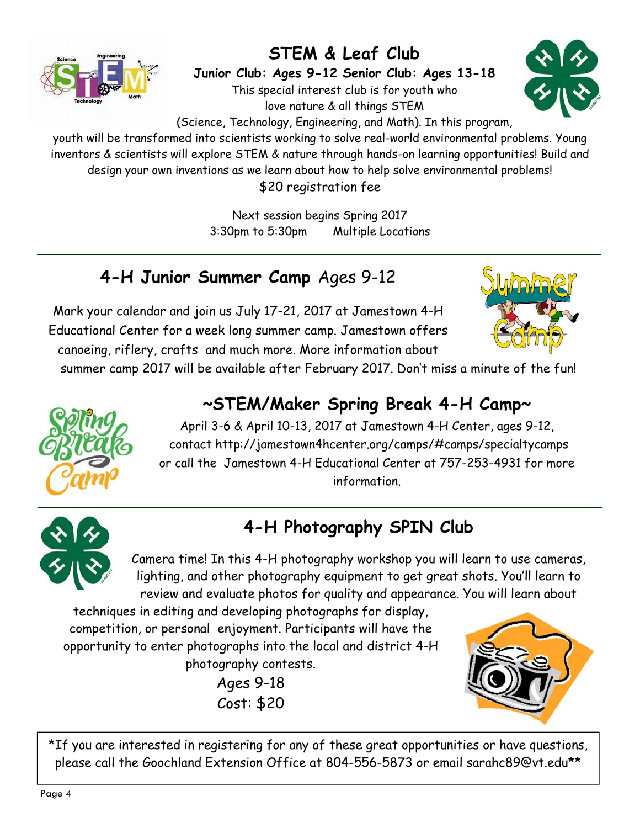

# **STEM & Leaf Club**

**Junior Club: Ages 9-12 Senior Club: Ages 13-18**  This special interest club is for youth who love nature & all things STEM



(Science, Technology, Engineering, and Math). In this program,

youth will be transformed into scientists working to solve real-world environmental problems. Young inventors & scientists will explore STEM & nature through hands-on learning opportunities! Build and design your own inventions as we learn about how to help solve environmental problems! \$20 registration fee

> Next session begins Spring 2017 3:30pm to 5:30pm Multiple Locations

# **4-H Junior Summer Camp** Ages 9-12

Mark your calendar and join us July 17-21, 2017 at Jamestown 4-H Educational Center for a week long summer camp. Jamestown offers canoeing, riflery, crafts and much more. More information about



summer camp 2017 will be available after February 2017. Don't miss a minute of the fun!

# **~STEM/Maker Spring Break 4-H Camp~**



April 3-6 & April 10-13, 2017 at Jamestown 4-H Center, ages 9-12, contact http://jamestown4hcenter.org/camps/#camps/specialtycamps or call the Jamestown 4-H Educational Center at 757-253-4931 for more information.



# **4-H Photography SPIN Club**

Camera time! In this 4-H photography workshop you will learn to use cameras, lighting, and other photography equipment to get great shots. You'll learn to review and evaluate photos for quality and appearance. You will learn about

techniques in editing and developing photographs for display, competition, or personal enjoyment. Participants will have the opportunity to enter photographs into the local and district 4-H photography contests.

> Ages 9-18 Cost: \$20



\*If you are interested in registering for any of these great opportunities or have questions, please call the Goochland Extension Office at 804-556-5873 or email sarahc89@vt.edu\*\*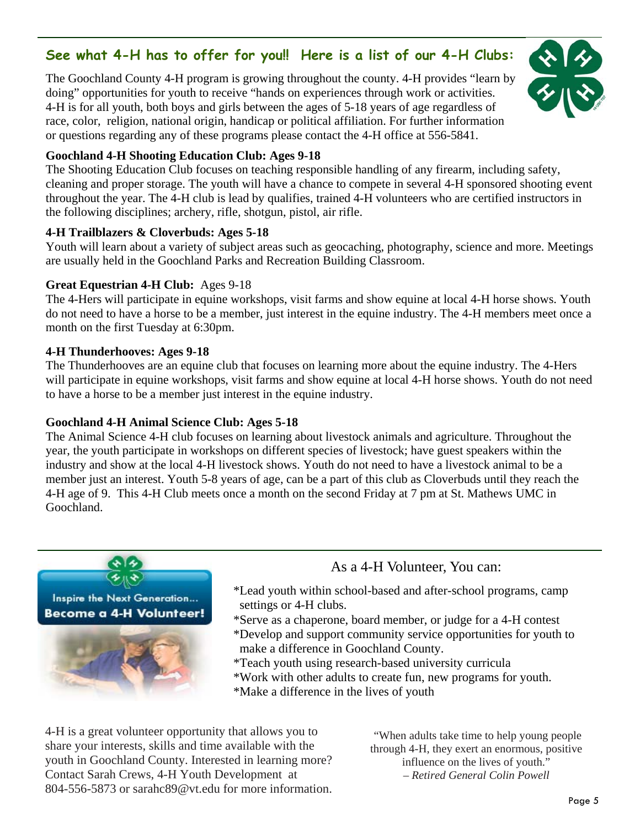## **See what 4-H has to offer for you!! Here is a list of our 4-H Clubs:**

The Goochland County 4-H program is growing throughout the county. 4-H provides "learn by doing" opportunities for youth to receive "hands on experiences through work or activities. 4-H is for all youth, both boys and girls between the ages of 5-18 years of age regardless of race, color, religion, national origin, handicap or political affiliation. For further information or questions regarding any of these programs please contact the 4-H office at 556-5841.



### **Goochland 4-H Shooting Education Club: Ages 9-18**

The Shooting Education Club focuses on teaching responsible handling of any firearm, including safety, cleaning and proper storage. The youth will have a chance to compete in several 4-H sponsored shooting event throughout the year. The 4-H club is lead by qualifies, trained 4-H volunteers who are certified instructors in the following disciplines; archery, rifle, shotgun, pistol, air rifle.

### **4-H Trailblazers & Cloverbuds: Ages 5-18**

Youth will learn about a variety of subject areas such as geocaching, photography, science and more. Meetings are usually held in the Goochland Parks and Recreation Building Classroom.

### **Great Equestrian 4-H Club:** Ages 9-18

The 4-Hers will participate in equine workshops, visit farms and show equine at local 4-H horse shows. Youth do not need to have a horse to be a member, just interest in the equine industry. The 4-H members meet once a month on the first Tuesday at 6:30pm.

### **4-H Thunderhooves: Ages 9-18**

The Thunderhooves are an equine club that focuses on learning more about the equine industry. The 4-Hers will participate in equine workshops, visit farms and show equine at local 4-H horse shows. Youth do not need to have a horse to be a member just interest in the equine industry.

## **Goochland 4-H Animal Science Club: Ages 5-18**

The Animal Science 4-H club focuses on learning about livestock animals and agriculture. Throughout the year, the youth participate in workshops on different species of livestock; have guest speakers within the industry and show at the local 4-H livestock shows. Youth do not need to have a livestock animal to be a member just an interest. Youth 5-8 years of age, can be a part of this club as Cloverbuds until they reach the 4-H age of 9. This 4-H Club meets once a month on the second Friday at 7 pm at St. Mathews UMC in Goochland.



## As a 4-H Volunteer, You can:

- \*Lead youth within school-based and after-school programs, camp settings or 4-H clubs.
- \*Serve as a chaperone, board member, or judge for a 4-H contest \*Develop and support community service opportunities for youth to
- make a difference in Goochland County.
- \*Teach youth using research-based university curricula
- \*Work with other adults to create fun, new programs for youth.
- \*Make a difference in the lives of youth

4-H is a great volunteer opportunity that allows you to share your interests, skills and time available with the youth in Goochland County. Interested in learning more? Contact Sarah Crews, 4-H Youth Development at 804-556-5873 or sarahc89@vt.edu for more information.

"When adults take time to help young people through 4-H, they exert an enormous, positive influence on the lives of youth." *– Retired General Colin Powell*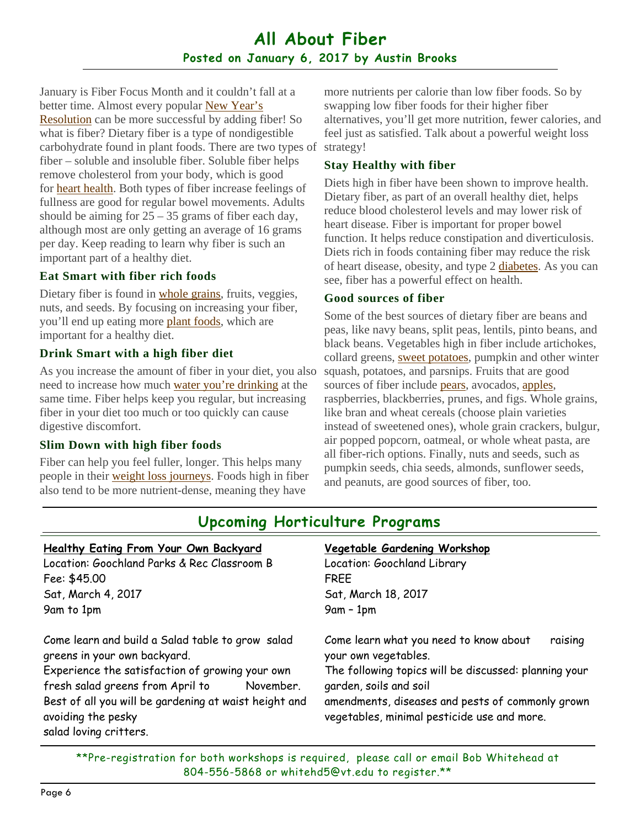## **All About Fiber Posted on January 6, 2017 by Austin Brooks**

January is Fiber Focus Month and it couldn't fall at a better time. Almost every popular New Year's Resolution can be more successful by adding fiber! So what is fiber? Dietary fiber is a type of nondigestible carbohydrate found in plant foods. There are two types of fiber – soluble and insoluble fiber. Soluble fiber helps remove cholesterol from your body, which is good for heart health. Both types of fiber increase feelings of fullness are good for regular bowel movements. Adults should be aiming for  $25 - 35$  grams of fiber each day, although most are only getting an average of 16 grams per day. Keep reading to learn why fiber is such an important part of a healthy diet.

### **Eat Smart with fiber rich foods**

Dietary fiber is found in whole grains, fruits, veggies, nuts, and seeds. By focusing on increasing your fiber, you'll end up eating more plant foods, which are important for a healthy diet.

## **Drink Smart with a high fiber diet**

As you increase the amount of fiber in your diet, you also need to increase how much water you're drinking at the same time. Fiber helps keep you regular, but increasing fiber in your diet too much or too quickly can cause digestive discomfort.

### **Slim Down with high fiber foods**

Fiber can help you feel fuller, longer. This helps many people in their weight loss journeys. Foods high in fiber also tend to be more nutrient-dense, meaning they have

more nutrients per calorie than low fiber foods. So by swapping low fiber foods for their higher fiber alternatives, you'll get more nutrition, fewer calories, and feel just as satisfied. Talk about a powerful weight loss strategy!

#### **Stay Healthy with fiber**

Diets high in fiber have been shown to improve health. Dietary fiber, as part of an overall healthy diet, helps reduce blood cholesterol levels and may lower risk of heart disease. Fiber is important for proper bowel function. It helps reduce constipation and diverticulosis. Diets rich in foods containing fiber may reduce the risk of heart disease, obesity, and type 2 diabetes. As you can see, fiber has a powerful effect on health.

#### **Good sources of fiber**

Some of the best sources of dietary fiber are beans and peas, like navy beans, split peas, lentils, pinto beans, and black beans. Vegetables high in fiber include artichokes, collard greens, sweet potatoes, pumpkin and other winter squash, potatoes, and parsnips. Fruits that are good sources of fiber include pears, avocados, apples, raspberries, blackberries, prunes, and figs. Whole grains, like bran and wheat cereals (choose plain varieties instead of sweetened ones), whole grain crackers, bulgur, air popped popcorn, oatmeal, or whole wheat pasta, are all fiber-rich options. Finally, nuts and seeds, such as pumpkin seeds, chia seeds, almonds, sunflower seeds, and peanuts, are good sources of fiber, too.

| Healthy Eating From Your Own Backyard                                                                                                                                                                                                                                                         | Vegetable Gardening Workshop                                                                                                                                                                                                                                    |
|-----------------------------------------------------------------------------------------------------------------------------------------------------------------------------------------------------------------------------------------------------------------------------------------------|-----------------------------------------------------------------------------------------------------------------------------------------------------------------------------------------------------------------------------------------------------------------|
| Location: Goochland Parks & Rec Classroom B                                                                                                                                                                                                                                                   | Location: Goochland Library                                                                                                                                                                                                                                     |
| Fee: \$45.00                                                                                                                                                                                                                                                                                  | <b>FREE</b>                                                                                                                                                                                                                                                     |
| Sat, March 4, 2017                                                                                                                                                                                                                                                                            | Sat, March 18, 2017                                                                                                                                                                                                                                             |
| 9am to 1pm                                                                                                                                                                                                                                                                                    | $9am - 1pm$                                                                                                                                                                                                                                                     |
| Come learn and build a Salad table to grow salad<br>greens in your own backyard.<br>Experience the satisfaction of growing your own<br>fresh salad greens from April to<br>November.<br>Best of all you will be gardening at waist height and<br>avoiding the pesky<br>salad loving critters. | Come learn what you need to know about<br>raising<br>your own vegetables.<br>The following topics will be discussed: planning your<br>garden, soils and soil<br>amendments, diseases and pests of commonly grown<br>vegetables, minimal pesticide use and more. |

## **Upcoming Horticulture Programs**

\*\*Pre-registration for both workshops is required, please call or email Bob Whitehead at 804-556-5868 or whitehd5@vt.edu to register.\*\*